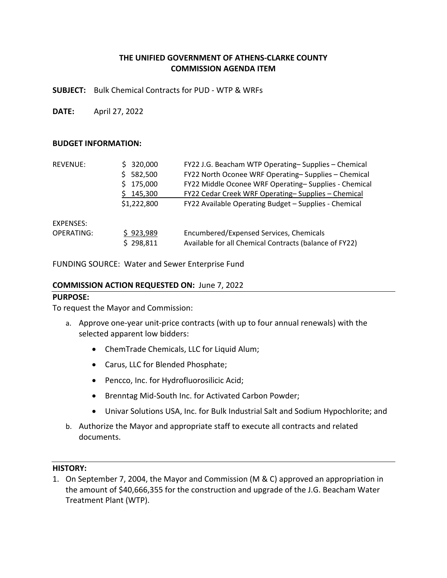# **THE UNIFIED GOVERNMENT OF ATHENS‐CLARKE COUNTY COMMISSION AGENDA ITEM**

**SUBJECT:**  Bulk Chemical Contracts for PUD ‐ WTP & WRFs

**DATE:**  April 27, 2022

#### **BUDGET INFORMATION:**

| <b>REVENUE:</b> | 320,000<br>582,500<br>175,000<br>\$145,300<br>\$1,222,800 | FY22 J.G. Beacham WTP Operating-Supplies - Chemical<br>FY22 North Oconee WRF Operating-Supplies - Chemical<br>FY22 Middle Oconee WRF Operating-Supplies - Chemical<br>FY22 Cedar Creek WRF Operating-Supplies - Chemical<br>FY22 Available Operating Budget - Supplies - Chemical |
|-----------------|-----------------------------------------------------------|-----------------------------------------------------------------------------------------------------------------------------------------------------------------------------------------------------------------------------------------------------------------------------------|
| EXPENSES:       | \$923,989                                                 | Encumbered/Expensed Services, Chemicals                                                                                                                                                                                                                                           |
| OPERATING:      | \$298,811                                                 | Available for all Chemical Contracts (balance of FY22)                                                                                                                                                                                                                            |

FUNDING SOURCE: Water and Sewer Enterprise Fund

#### **COMMISSION ACTION REQUESTED ON:** June 7, 2022

#### **PURPOSE:**

To request the Mayor and Commission:

- a. Approve one‐year unit‐price contracts (with up to four annual renewals) with the selected apparent low bidders:
	- ChemTrade Chemicals, LLC for Liquid Alum;
	- Carus, LLC for Blended Phosphate;
	- Pencco, Inc. for Hydrofluorosilicic Acid;
	- Brenntag Mid-South Inc. for Activated Carbon Powder;
	- Univar Solutions USA, Inc. for Bulk Industrial Salt and Sodium Hypochlorite; and
- b. Authorize the Mayor and appropriate staff to execute all contracts and related documents.

#### **HISTORY:**

1. On September 7, 2004, the Mayor and Commission (M & C) approved an appropriation in the amount of \$40,666,355 for the construction and upgrade of the J.G. Beacham Water Treatment Plant (WTP).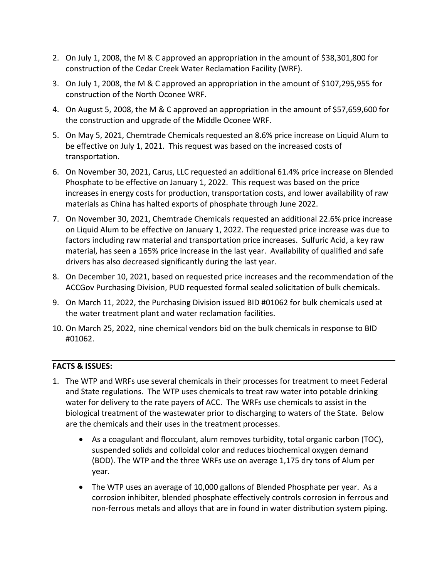- 2. On July 1, 2008, the M & C approved an appropriation in the amount of \$38,301,800 for construction of the Cedar Creek Water Reclamation Facility (WRF).
- 3. On July 1, 2008, the M & C approved an appropriation in the amount of \$107,295,955 for construction of the North Oconee WRF.
- 4. On August 5, 2008, the M & C approved an appropriation in the amount of \$57,659,600 for the construction and upgrade of the Middle Oconee WRF.
- 5. On May 5, 2021, Chemtrade Chemicals requested an 8.6% price increase on Liquid Alum to be effective on July 1, 2021. This request was based on the increased costs of transportation.
- 6. On November 30, 2021, Carus, LLC requested an additional 61.4% price increase on Blended Phosphate to be effective on January 1, 2022. This request was based on the price increases in energy costs for production, transportation costs, and lower availability of raw materials as China has halted exports of phosphate through June 2022.
- 7. On November 30, 2021, Chemtrade Chemicals requested an additional 22.6% price increase on Liquid Alum to be effective on January 1, 2022. The requested price increase was due to factors including raw material and transportation price increases. Sulfuric Acid, a key raw material, has seen a 165% price increase in the last year. Availability of qualified and safe drivers has also decreased significantly during the last year.
- 8. On December 10, 2021, based on requested price increases and the recommendation of the ACCGov Purchasing Division, PUD requested formal sealed solicitation of bulk chemicals.
- 9. On March 11, 2022, the Purchasing Division issued BID #01062 for bulk chemicals used at the water treatment plant and water reclamation facilities.
- 10. On March 25, 2022, nine chemical vendors bid on the bulk chemicals in response to BID #01062.

# **FACTS & ISSUES:**

- 1. The WTP and WRFs use several chemicals in their processes for treatment to meet Federal and State regulations. The WTP uses chemicals to treat raw water into potable drinking water for delivery to the rate payers of ACC. The WRFs use chemicals to assist in the biological treatment of the wastewater prior to discharging to waters of the State. Below are the chemicals and their uses in the treatment processes.
	- As a coagulant and flocculant, alum removes turbidity, total organic carbon (TOC), suspended solids and colloidal color and reduces biochemical oxygen demand (BOD). The WTP and the three WRFs use on average 1,175 dry tons of Alum per year.
	- The WTP uses an average of 10,000 gallons of Blended Phosphate per year. As a corrosion inhibiter, blended phosphate effectively controls corrosion in ferrous and non‐ferrous metals and alloys that are in found in water distribution system piping.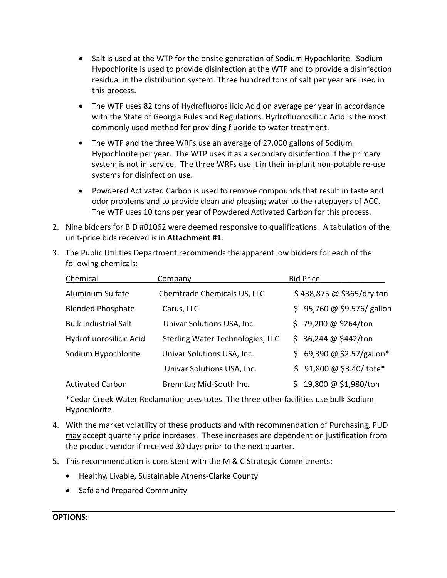- Salt is used at the WTP for the onsite generation of Sodium Hypochlorite. Sodium Hypochlorite is used to provide disinfection at the WTP and to provide a disinfection residual in the distribution system. Three hundred tons of salt per year are used in this process.
- The WTP uses 82 tons of Hydrofluorosilicic Acid on average per year in accordance with the State of Georgia Rules and Regulations. Hydrofluorosilicic Acid is the most commonly used method for providing fluoride to water treatment.
- The WTP and the three WRFs use an average of 27,000 gallons of Sodium Hypochlorite per year. The WTP uses it as a secondary disinfection if the primary system is not in service. The three WRFs use it in their in‐plant non‐potable re‐use systems for disinfection use.
- Powdered Activated Carbon is used to remove compounds that result in taste and odor problems and to provide clean and pleasing water to the ratepayers of ACC. The WTP uses 10 tons per year of Powdered Activated Carbon for this process.
- 2. Nine bidders for BID #01062 were deemed responsive to qualifications. A tabulation of the unit‐price bids received is in **Attachment #1**.
- 3. The Public Utilities Department recommends the apparent low bidders for each of the following chemicals:

| Chemical                    | Company                          | <b>Bid Price</b>             |
|-----------------------------|----------------------------------|------------------------------|
| Aluminum Sulfate            | Chemtrade Chemicals US, LLC      | \$438,875 @ \$365/dry ton    |
| <b>Blended Phosphate</b>    | Carus, LLC                       | $$95,760 @ $9.576/$ gallon   |
| <b>Bulk Industrial Salt</b> | Univar Solutions USA, Inc.       | \$79,200 @ \$264/ton         |
| Hydrofluorosilicic Acid     | Sterling Water Technologies, LLC | \$36,244@\$442/ton           |
| Sodium Hypochlorite         | Univar Solutions USA, Inc.       | \$ 69,390 @ \$2.57/gallon*   |
|                             | Univar Solutions USA, Inc.       | $$91,800 \ @ \ $3.40/$ tote* |
| <b>Activated Carbon</b>     | Brenntag Mid-South Inc.          | 19,800 @ \$1,980/ton         |

\*Cedar Creek Water Reclamation uses totes. The three other facilities use bulk Sodium Hypochlorite.

- 4. With the market volatility of these products and with recommendation of Purchasing, PUD may accept quarterly price increases. These increases are dependent on justification from the product vendor if received 30 days prior to the next quarter.
- 5. This recommendation is consistent with the M & C Strategic Commitments:
	- Healthy, Livable, Sustainable Athens-Clarke County
	- Safe and Prepared Community

### **OPTIONS:**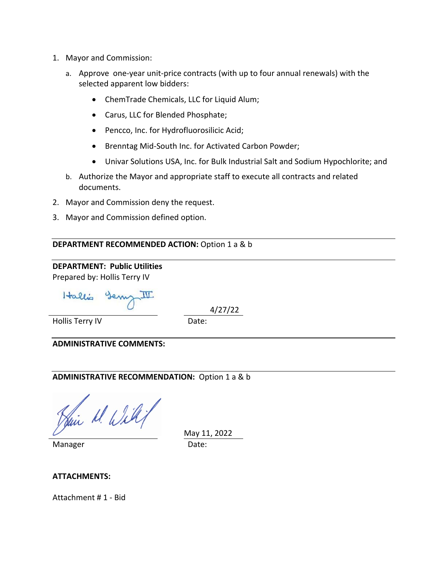- 1. Mayor and Commission:
	- a. Approve one‐year unit‐price contracts (with up to four annual renewals) with the selected apparent low bidders:
		- ChemTrade Chemicals, LLC for Liquid Alum;
		- Carus, LLC for Blended Phosphate;
		- Pencco, Inc. for Hydrofluorosilicic Acid;
		- Brenntag Mid-South Inc. for Activated Carbon Powder;
		- Univar Solutions USA, Inc. for Bulk Industrial Salt and Sodium Hypochlorite; and
	- b. Authorize the Mayor and appropriate staff to execute all contracts and related documents.
- 2. Mayor and Commission deny the request.
- 3. Mayor and Commission defined option.

### **DEPARTMENT RECOMMENDED ACTION:** Option 1 a & b

## **DEPARTMENT: Public Utilities**  Prepared by: Hollis Terry IV

Hallis

4/27/22

Hollis Terry IV **Date:** 

**ADMINISTRATIVE COMMENTS:** 

# **ADMINISTRATIVE RECOMMENDATION:** Option 1 a & b

Jui M. Willi

Manager Date:

May 11, 2022

### **ATTACHMENTS:**

Attachment # 1 ‐ Bid